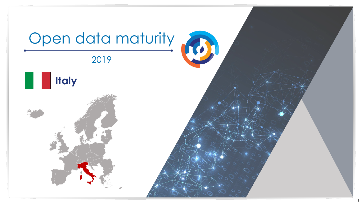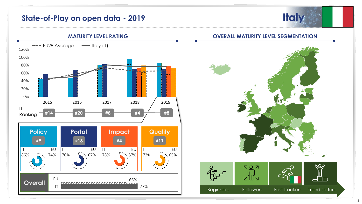## **State-of-Play on open data - 2019**





**OVERALL MATURITY LEVEL SEGMENTATION**

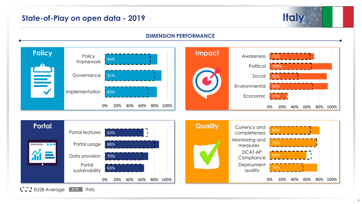# **State-of-Play on open data - 2019 Italy**

## **DIMENSION PERFORMANCE**